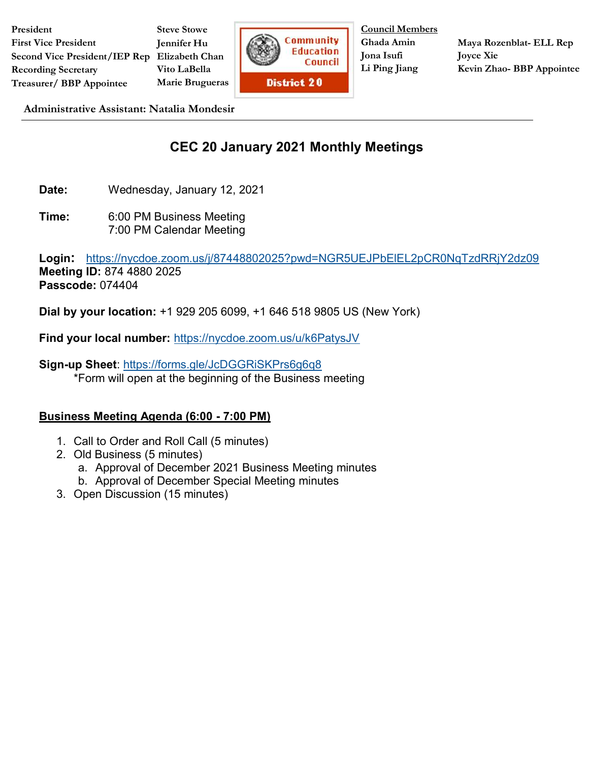**President First Vice President Second Vice President/IEP Rep Elizabeth Chan Recording Secretary Treasurer/ BBP Appointee**

**Steve Stowe Jennifer Hu Vito LaBella Marie Brugueras**



**Council Members Ghada Amin Jona Isufi Li Ping Jiang**

**Maya Rozenblat- ELL Rep Joyce Xie Kevin Zhao- BBP Appointee**

**Administrative Assistant: Natalia Mondesir**

## **CEC 20 January 2021 Monthly Meetings**

**Date:** Wednesday, January 12, 2021

**Time:** 6:00 PM Business Meeting 7:00 PM Calendar Meeting

**Login:** <https://nycdoe.zoom.us/j/87448802025?pwd=NGR5UEJPbElEL2pCR0NqTzdRRjY2dz09> **Meeting ID:** 874 4880 2025 **Passcode:** 074404

**Dial by your location:** +1 929 205 6099, +1 646 518 9805 US (New York)

**Find your local number:** <https://nycdoe.zoom.us/u/k6PatysJV>

**Sign-up Sheet**:<https://forms.gle/JcDGGRiSKPrs6g6q8> \*Form will open at the beginning of the Business meeting

## **Business Meeting Agenda (6:00 - 7:00 PM)**

- 1. Call to Order and Roll Call (5 minutes)
- 2. Old Business (5 minutes)
	- a. Approval of December 2021 Business Meeting minutes
	- b. Approval of December Special Meeting minutes
- 3. Open Discussion (15 minutes)